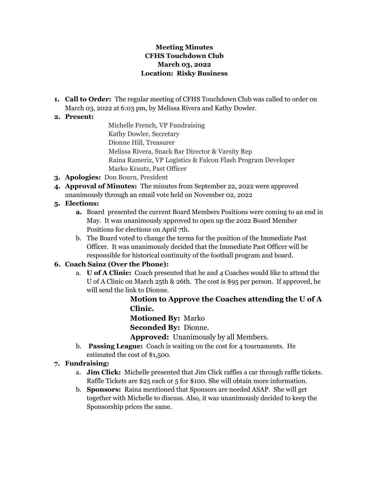#### **Meeting Minutes CFHS Touchdown Club March 03, 2022 Location: Risky Business**

**1. Call to Order:** The regular meeting of CFHS Touchdown Club was called to order on March 03, 2022 at 6:03 pm, by Melissa Rivera and Kathy Dowler.

#### **2. Present:**

Michelle French, VP Fundraising Kathy Dowler, Secretary Dionne Hill, Treasurer Melissa Rivera, Snack Bar Director & Varsity Rep Raina Rameriz, VP Logistics & Falcon Flash Program Developer Marko Krautz, Past Officer

- **3. Apologies:** Don Bourn, President
- **4. Approval of Minutes:** The minutes from September 22, 2022 were approved unanimously through an email vote held on November 02, 2022

### **5. Elections:**

- **a.** Board presented the current Board Members Positions were coming to an end in May. It was unanimously approved to open up the 2022 Board Member Positions for elections on April 7th.
- b. The Board voted to change the terms for the position of the Immediate Past Officer. It was unanimously decided that the Immediate Past Officer will be responsible for historical continuity of the football program and board.

### **6. Coach Sainz (Over the Phone):**

a. **U of A Clinic:** Coach presented that he and 4 Coaches would like to attend the U of A Clinic on March 25th & 26th. The cost is \$95 per person. If approved, he will send the link to Dionne.

**Motion to Approve the Coaches attending the U of A Clinic.**

**Motioned By:** Marko

**Seconded By:** Dionne.

**Approved:** Unanimously by all Members.

b. **Passing League:** Coach is waiting on the cost for 4 tournaments. He estimated the cost of \$1,500.

### **7. Fundraising:**

- a. **Jim Click:** Michelle presented that Jim Click raffles a car through raffle tickets. Raffle Tickets are \$25 each or 5 for \$100. She will obtain more information.
- b. **Sponsors:** Raina mentioned that Sponsors are needed ASAP. She will get together with Michelle to discuss. Also, it was unanimously decided to keep the Sponsorship prices the same.